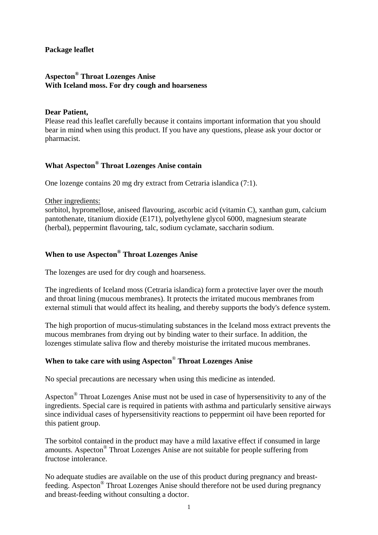#### **Package leaflet**

### **Aspecton® Throat Lozenges Anise With Iceland moss. For dry cough and hoarseness**

#### **Dear Patient,**

Please read this leaflet carefully because it contains important information that you should bear in mind when using this product. If you have any questions, please ask your doctor or pharmacist.

# **What Aspecton® Throat Lozenges Anise contain**

One lozenge contains 20 mg dry extract from Cetraria islandica (7:1).

#### Other ingredients:

sorbitol, hypromellose, aniseed flavouring, ascorbic acid (vitamin C), xanthan gum, calcium pantothenate, titanium dioxide (E171), polyethylene glycol 6000, magnesium stearate (herbal), peppermint flavouring, talc, sodium cyclamate, saccharin sodium.

### **When to use Aspecton® Throat Lozenges Anise**

The lozenges are used for dry cough and hoarseness.

The ingredients of Iceland moss (Cetraria islandica) form a protective layer over the mouth and throat lining (mucous membranes). It protects the irritated mucous membranes from external stimuli that would affect its healing, and thereby supports the body's defence system.

The high proportion of mucus-stimulating substances in the Iceland moss extract prevents the mucous membranes from drying out by binding water to their surface. In addition, the lozenges stimulate saliva flow and thereby moisturise the irritated mucous membranes.

# **When to take care with using Aspecton**® **Throat Lozenges Anise**

No special precautions are necessary when using this medicine as intended.

Aspecton® Throat Lozenges Anise must not be used in case of hypersensitivity to any of the ingredients. Special care is required in patients with asthma and particularly sensitive airways since individual cases of hypersensitivity reactions to peppermint oil have been reported for this patient group.

The sorbitol contained in the product may have a mild laxative effect if consumed in large amounts. Aspecton® Throat Lozenges Anise are not suitable for people suffering from fructose intolerance.

No adequate studies are available on the use of this product during pregnancy and breastfeeding. Aspecton® Throat Lozenges Anise should therefore not be used during pregnancy and breast-feeding without consulting a doctor.